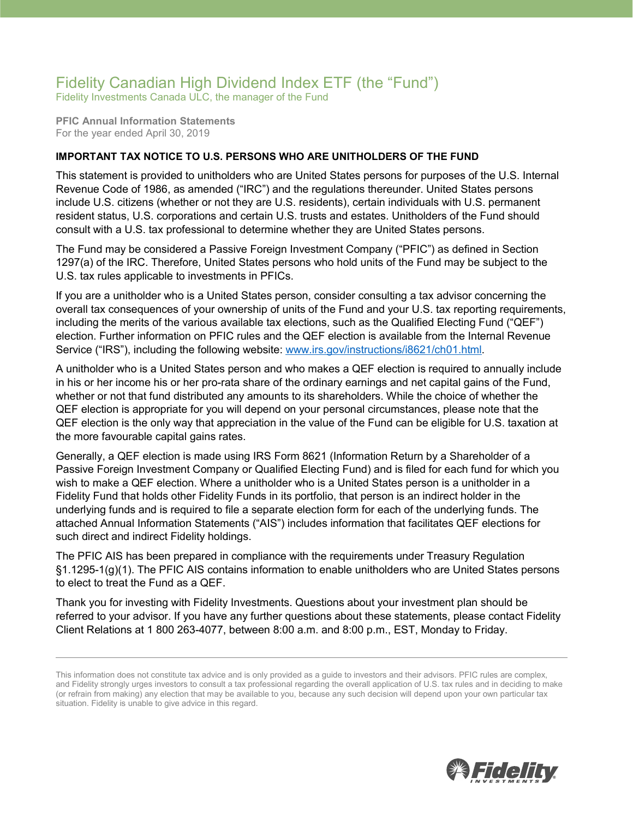## Fidelity Canadian High Dividend Index ETF (the "Fund")

Fidelity Investments Canada ULC, the manager of the Fund

**PFIC Annual Information Statements** For the year ended April 30, 2019

## **IMPORTANT TAX NOTICE TO U.S. PERSONS WHO ARE UNITHOLDERS OF THE FUND**

This statement is provided to unitholders who are United States persons for purposes of the U.S. Internal Revenue Code of 1986, as amended ("IRC") and the regulations thereunder. United States persons include U.S. citizens (whether or not they are U.S. residents), certain individuals with U.S. permanent resident status, U.S. corporations and certain U.S. trusts and estates. Unitholders of the Fund should consult with a U.S. tax professional to determine whether they are United States persons.

The Fund may be considered a Passive Foreign Investment Company ("PFIC") as defined in Section 1297(a) of the IRC. Therefore, United States persons who hold units of the Fund may be subject to the U.S. tax rules applicable to investments in PFICs.

If you are a unitholder who is a United States person, consider consulting a tax advisor concerning the overall tax consequences of your ownership of units of the Fund and your U.S. tax reporting requirements, including the merits of the various available tax elections, such as the Qualified Electing Fund ("QEF") election. Further information on PFIC rules and the QEF election is available from the Internal Revenue Service ("IRS"), including the following website: [www.irs.gov/instructions/i8621/ch01.html.](http://www.irs.gov/instructions/i8621/ch01.html)

A unitholder who is a United States person and who makes a QEF election is required to annually include in his or her income his or her pro-rata share of the ordinary earnings and net capital gains of the Fund, whether or not that fund distributed any amounts to its shareholders. While the choice of whether the QEF election is appropriate for you will depend on your personal circumstances, please note that the QEF election is the only way that appreciation in the value of the Fund can be eligible for U.S. taxation at the more favourable capital gains rates.

Generally, a QEF election is made using IRS Form 8621 (Information Return by a Shareholder of a Passive Foreign Investment Company or Qualified Electing Fund) and is filed for each fund for which you wish to make a QEF election. Where a unitholder who is a United States person is a unitholder in a Fidelity Fund that holds other Fidelity Funds in its portfolio, that person is an indirect holder in the underlying funds and is required to file a separate election form for each of the underlying funds. The attached Annual Information Statements ("AIS") includes information that facilitates QEF elections for such direct and indirect Fidelity holdings.

The PFIC AIS has been prepared in compliance with the requirements under Treasury Regulation §1.1295-1(g)(1). The PFIC AIS contains information to enable unitholders who are United States persons to elect to treat the Fund as a QEF.

Thank you for investing with Fidelity Investments. Questions about your investment plan should be referred to your advisor. If you have any further questions about these statements, please contact Fidelity Client Relations at 1 800 263-4077, between 8:00 a.m. and 8:00 p.m., EST, Monday to Friday.



This information does not constitute tax advice and is only provided as a guide to investors and their advisors. PFIC rules are complex, and Fidelity strongly urges investors to consult a tax professional regarding the overall application of U.S. tax rules and in deciding to make (or refrain from making) any election that may be available to you, because any such decision will depend upon your own particular tax situation. Fidelity is unable to give advice in this regard.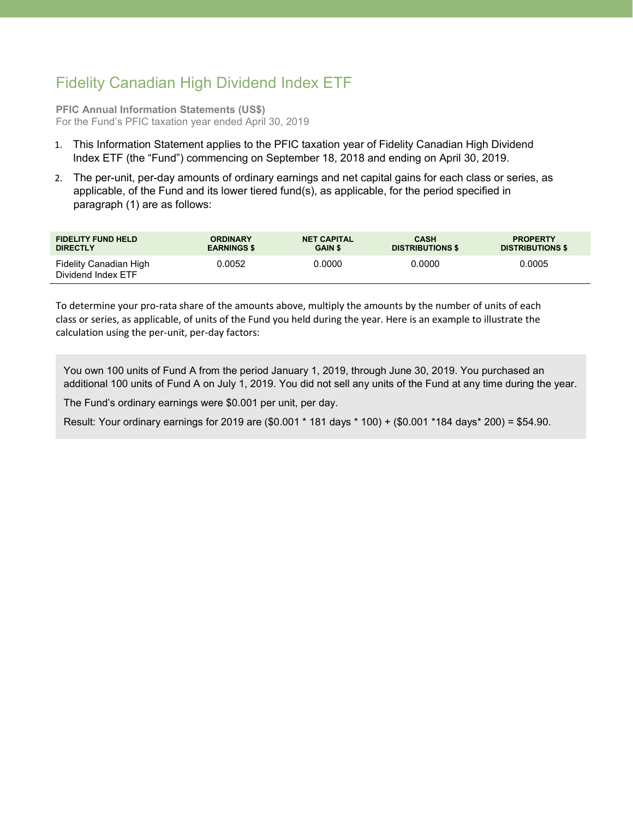## Fidelity Canadian High Dividend Index ETF

**PFIC Annual Information Statements (US\$)** For the Fund's PFIC taxation year ended April 30, 2019

- 1. This Information Statement applies to the PFIC taxation year of Fidelity Canadian High Dividend Index ETF (the "Fund") commencing on September 18, 2018 and ending on April 30, 2019.
- 2. The per-unit, per-day amounts of ordinary earnings and net capital gains for each class or series, as applicable, of the Fund and its lower tiered fund(s), as applicable, for the period specified in paragraph (1) are as follows:

| <b>FIDELITY FUND HELD</b>                    | <b>ORDINARY</b>    | <b>NET CAPITAL</b> | <b>CASH</b>             | <b>PROPERTY</b>         |
|----------------------------------------------|--------------------|--------------------|-------------------------|-------------------------|
| <b>DIRECTLY</b>                              | <b>EARNINGS \$</b> | <b>GAIN \$</b>     | <b>DISTRIBUTIONS \$</b> | <b>DISTRIBUTIONS \$</b> |
| Fidelity Canadian High<br>Dividend Index ETF | 0.0052             | 0.0000             | 0.0000                  | 0.0005                  |

To determine your pro-rata share of the amounts above, multiply the amounts by the number of units of each class or series, as applicable, of units of the Fund you held during the year. Here is an example to illustrate the calculation using the per-unit, per-day factors:

You own 100 units of Fund A from the period January 1, 2019, through June 30, 2019. You purchased an additional 100 units of Fund A on July 1, 2019. You did not sell any units of the Fund at any time during the year.

The Fund's ordinary earnings were \$0.001 per unit, per day.

Result: Your ordinary earnings for 2019 are (\$0.001 \* 181 days \* 100) + (\$0.001 \*184 days\* 200) = \$54.90.